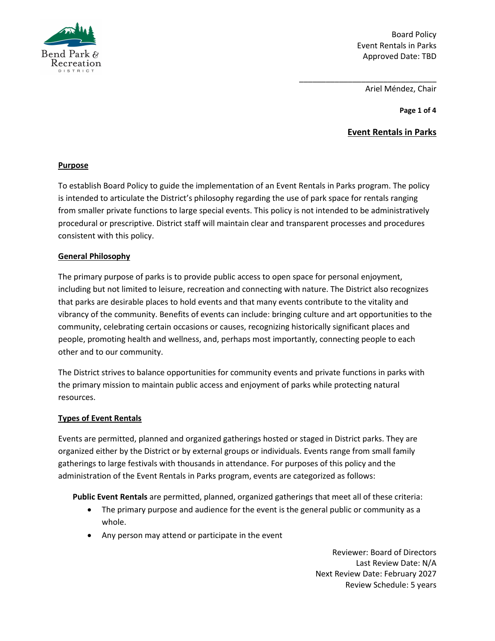

Board Policy Event Rentals in Parks Approved Date: TBD

Ariel Méndez, Chair

\_\_\_\_\_\_\_\_\_\_\_\_\_\_\_\_\_\_\_\_\_\_\_\_\_\_\_\_\_\_\_

**Page 1 of 4**

# **Event Rentals in Parks**

## **Purpose**

To establish Board Policy to guide the implementation of an Event Rentals in Parks program. The policy is intended to articulate the District's philosophy regarding the use of park space for rentals ranging from smaller private functions to large special events. This policy is not intended to be administratively procedural or prescriptive. District staff will maintain clear and transparent processes and procedures consistent with this policy.

### **General Philosophy**

The primary purpose of parks is to provide public access to open space for personal enjoyment, including but not limited to leisure, recreation and connecting with nature. The District also recognizes that parks are desirable places to hold events and that many events contribute to the vitality and vibrancy of the community. Benefits of events can include: bringing culture and art opportunities to the community, celebrating certain occasions or causes, recognizing historically significant places and people, promoting health and wellness, and, perhaps most importantly, connecting people to each other and to our community.

The District strives to balance opportunities for community events and private functions in parks with the primary mission to maintain public access and enjoyment of parks while protecting natural resources.

## **Types of Event Rentals**

Events are permitted, planned and organized gatherings hosted or staged in District parks. They are organized either by the District or by external groups or individuals. Events range from small family gatherings to large festivals with thousands in attendance. For purposes of this policy and the administration of the Event Rentals in Parks program, events are categorized as follows:

**Public Event Rentals** are permitted, planned, organized gatherings that meet all of these criteria:

- The primary purpose and audience for the event is the general public or community as a whole.
- Any person may attend or participate in the event

Reviewer: Board of Directors Last Review Date: N/A Next Review Date: February 2027 Review Schedule: 5 years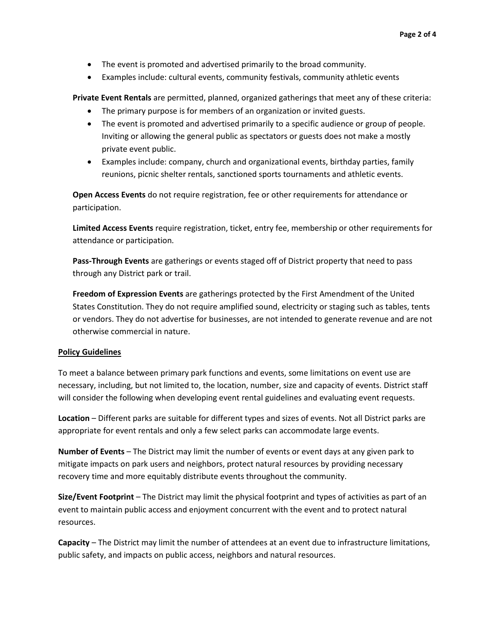- The event is promoted and advertised primarily to the broad community.
- Examples include: cultural events, community festivals, community athletic events

**Private Event Rentals** are permitted, planned, organized gatherings that meet any of these criteria:

- The primary purpose is for members of an organization or invited guests.
- The event is promoted and advertised primarily to a specific audience or group of people. Inviting or allowing the general public as spectators or guests does not make a mostly private event public.
- Examples include: company, church and organizational events, birthday parties, family reunions, picnic shelter rentals, sanctioned sports tournaments and athletic events.

**Open Access Events** do not require registration, fee or other requirements for attendance or participation.

**Limited Access Events** require registration, ticket, entry fee, membership or other requirements for attendance or participation.

**Pass-Through Events** are gatherings or events staged off of District property that need to pass through any District park or trail.

**Freedom of Expression Events** are gatherings protected by the First Amendment of the United States Constitution. They do not require amplified sound, electricity or staging such as tables, tents or vendors. They do not advertise for businesses, are not intended to generate revenue and are not otherwise commercial in nature.

#### **Policy Guidelines**

To meet a balance between primary park functions and events, some limitations on event use are necessary, including, but not limited to, the location, number, size and capacity of events. District staff will consider the following when developing event rental guidelines and evaluating event requests.

**Location** – Different parks are suitable for different types and sizes of events. Not all District parks are appropriate for event rentals and only a few select parks can accommodate large events.

**Number of Events** – The District may limit the number of events or event days at any given park to mitigate impacts on park users and neighbors, protect natural resources by providing necessary recovery time and more equitably distribute events throughout the community.

**Size/Event Footprint** – The District may limit the physical footprint and types of activities as part of an event to maintain public access and enjoyment concurrent with the event and to protect natural resources.

**Capacity** – The District may limit the number of attendees at an event due to infrastructure limitations, public safety, and impacts on public access, neighbors and natural resources.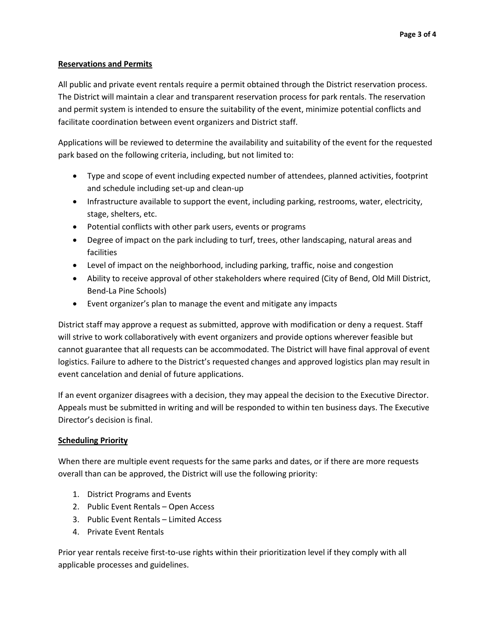### **Reservations and Permits**

All public and private event rentals require a permit obtained through the District reservation process. The District will maintain a clear and transparent reservation process for park rentals. The reservation and permit system is intended to ensure the suitability of the event, minimize potential conflicts and facilitate coordination between event organizers and District staff.

Applications will be reviewed to determine the availability and suitability of the event for the requested park based on the following criteria, including, but not limited to:

- Type and scope of event including expected number of attendees, planned activities, footprint and schedule including set-up and clean-up
- Infrastructure available to support the event, including parking, restrooms, water, electricity, stage, shelters, etc.
- Potential conflicts with other park users, events or programs
- Degree of impact on the park including to turf, trees, other landscaping, natural areas and facilities
- Level of impact on the neighborhood, including parking, traffic, noise and congestion
- Ability to receive approval of other stakeholders where required (City of Bend, Old Mill District, Bend-La Pine Schools)
- Event organizer's plan to manage the event and mitigate any impacts

District staff may approve a request as submitted, approve with modification or deny a request. Staff will strive to work collaboratively with event organizers and provide options wherever feasible but cannot guarantee that all requests can be accommodated. The District will have final approval of event logistics. Failure to adhere to the District's requested changes and approved logistics plan may result in event cancelation and denial of future applications.

If an event organizer disagrees with a decision, they may appeal the decision to the Executive Director. Appeals must be submitted in writing and will be responded to within ten business days. The Executive Director's decision is final.

## **Scheduling Priority**

When there are multiple event requests for the same parks and dates, or if there are more requests overall than can be approved, the District will use the following priority:

- 1. District Programs and Events
- 2. Public Event Rentals Open Access
- 3. Public Event Rentals Limited Access
- 4. Private Event Rentals

Prior year rentals receive first-to-use rights within their prioritization level if they comply with all applicable processes and guidelines.